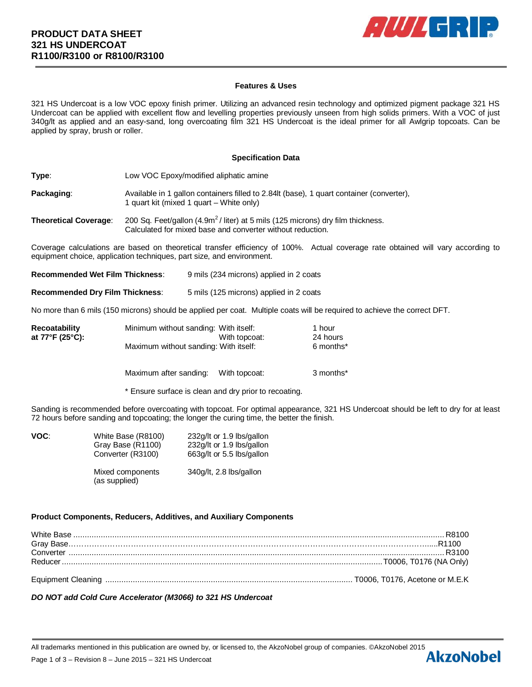

## **Features & Uses**

321 HS Undercoat is a low VOC epoxy finish primer. Utilizing an advanced resin technology and optimized pigment package 321 HS Undercoat can be applied with excellent flow and levelling properties previously unseen from high solids primers. With a VOC of just 340g/lt as applied and an easy-sand, long overcoating film 321 HS Undercoat is the ideal primer for all Awlgrip topcoats. Can be applied by spray, brush or roller.

### **Specification Data**

**Type:** Low VOC Epoxy/modified aliphatic amine

**Packaging:** Available in 1 gallon containers filled to 2.84lt (base), 1 quart container (converter), 1 quart kit (mixed 1 quart – White only)

**Theoretical Coverage**: 200 Sq. Feet/gallon (4.9m<sup>2</sup> / liter) at 5 mils (125 microns) dry film thickness. Calculated for mixed base and converter without reduction.

Coverage calculations are based on theoretical transfer efficiency of 100%. Actual coverage rate obtained will vary according to equipment choice, application techniques, part size, and environment.

**Recommended Wet Film Thickness**: 9 mils (234 microns) applied in 2 coats

**Recommended Dry Film Thickness**: 5 mils (125 microns) applied in 2 coats

No more than 6 mils (150 microns) should be applied per coat. Multiple coats will be required to achieve the correct DFT.

| Recoatability     | Minimum without sanding: With itself: | 1 hour                |
|-------------------|---------------------------------------|-----------------------|
| at 77°F (25°C): . | With topcoat:                         | 24 hours              |
|                   | Maximum without sanding: With itself: | 6 months <sup>*</sup> |
|                   |                                       |                       |

Maximum after sanding: With topcoat: 3 months\*

\* Ensure surface is clean and dry prior to recoating.

Sanding is recommended before overcoating with topcoat. For optimal appearance, 321 HS Undercoat should be left to dry for at least 72 hours before sanding and topcoating; the longer the curing time, the better the finish.

| VOC: | White Base (R8100)<br>Gray Base (R1100)<br>Converter (R3100) | 232g/lt or 1.9 lbs/gallon<br>232g/lt or 1.9 lbs/gallon<br>663q/lt or 5.5 lbs/gallon |
|------|--------------------------------------------------------------|-------------------------------------------------------------------------------------|
|      | Mixed components<br>(as supplied)                            | 340g/lt, 2.8 lbs/gallon                                                             |

## **Product Components, Reducers, Additives, and Auxiliary Components**

*DO NOT add Cold Cure Accelerator (M3066) to 321 HS Undercoat*

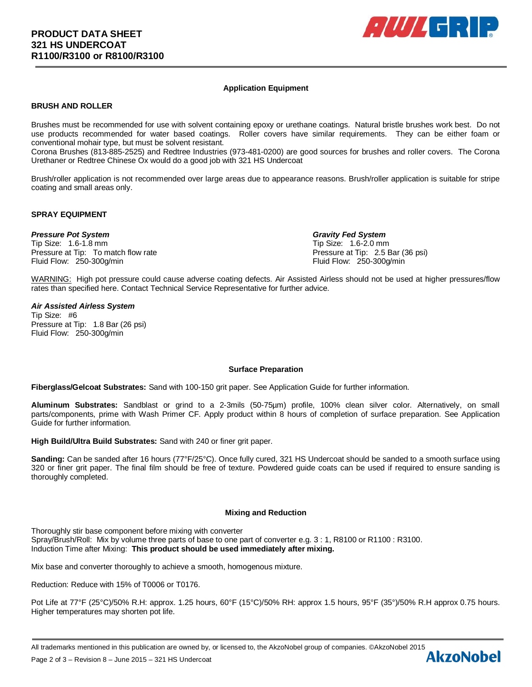

# **Application Equipment**

# **BRUSH AND ROLLER**

Brushes must be recommended for use with solvent containing epoxy or urethane coatings. Natural bristle brushes work best. Do not use products recommended for water based coatings. Roller covers have similar requirements. They can be either foam or conventional mohair type, but must be solvent resistant.

Corona Brushes (813-885-2525) and Redtree Industries (973-481-0200) are good sources for brushes and roller covers. The Corona Urethaner or Redtree Chinese Ox would do a good job with 321 HS Undercoat

Brush/roller application is not recommended over large areas due to appearance reasons. Brush/roller application is suitable for stripe coating and small areas only.

#### **SPRAY EQUIPMENT**

## *Pressure Pot System Gravity Fed System*

Tip Size: 1.6-1.8 mm Tip Size: 1.6-2.0 mm Pressure at Tip: To match flow rate Pressure at Tip: 2.5 Bar (36 psi) Fluid Flow: 250-300g/min Fluid Flow: 250-300g/min

WARNING: High pot pressure could cause adverse coating defects. Air Assisted Airless should not be used at higher pressures/flow rates than specified here. Contact Technical Service Representative for further advice.

#### *Air Assisted Airless System*

Tip Size: #6 Pressure at Tip: 1.8 Bar (26 psi) Fluid Flow: 250-300g/min

## **Surface Preparation**

**Fiberglass/Gelcoat Substrates:** Sand with 100-150 grit paper. See Application Guide for further information.

**Aluminum Substrates:** Sandblast or grind to a 2-3mils (50-75µm) profile, 100% clean silver color. Alternatively, on small parts/components, prime with Wash Primer CF. Apply product within 8 hours of completion of surface preparation. See Application Guide for further information.

**High Build/Ultra Build Substrates:** Sand with 240 or finer grit paper.

**Sanding:** Can be sanded after 16 hours (77°F/25°C). Once fully cured, 321 HS Undercoat should be sanded to a smooth surface using 320 or finer grit paper. The final film should be free of texture. Powdered guide coats can be used if required to ensure sanding is thoroughly completed.

## **Mixing and Reduction**

Thoroughly stir base component before mixing with converter Spray/Brush/Roll: Mix by volume three parts of base to one part of converter e.g. 3 : 1, R8100 or R1100 : R3100. Induction Time after Mixing: **This product should be used immediately after mixing.**

Mix base and converter thoroughly to achieve a smooth, homogenous mixture.

Reduction: Reduce with 15% of T0006 or T0176.

Pot Life at 77°F (25°C)/50% R.H: approx. 1.25 hours, 60°F (15°C)/50% RH: approx 1.5 hours, 95°F (35°)/50% R.H approx 0.75 hours. Higher temperatures may shorten pot life.

All trademarks mentioned in this publication are owned by, or licensed to, the AkzoNobel group of companies. ©AkzoNobel 2015<br>Page 2 of 3 – Revision 8 – June 2015 – 321 HS Undercoat